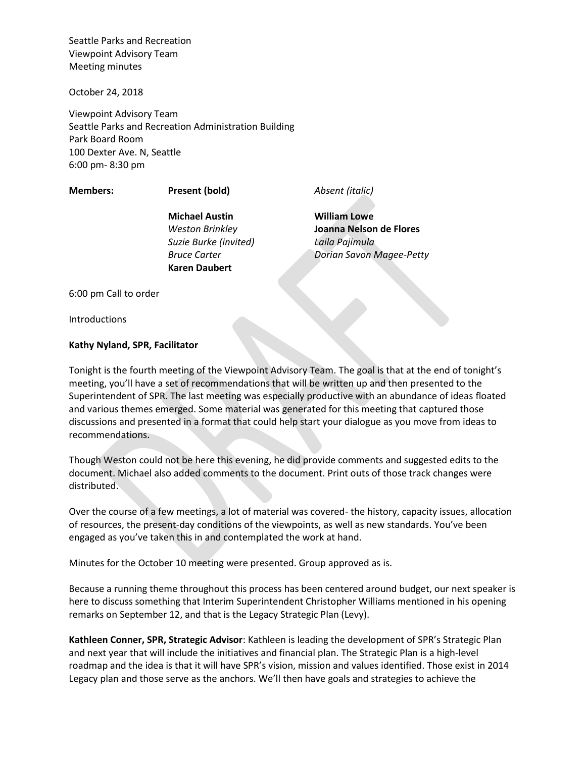October 24, 2018

Viewpoint Advisory Team Seattle Parks and Recreation Administration Building Park Board Room 100 Dexter Ave. N, Seattle 6:00 pm- 8:30 pm

**Members: Present (bold)** *Absent (italic)*

**Michael Austin** *Weston Brinkley Suzie Burke (invited) Bruce Carter* **Karen Daubert**

**William Lowe Joanna Nelson de Flores** *Laila Pajimula Dorian Savon Magee-Petty*

6:00 pm Call to order

**Introductions** 

## **Kathy Nyland, SPR, Facilitator**

Tonight is the fourth meeting of the Viewpoint Advisory Team. The goal is that at the end of tonight's meeting, you'll have a set of recommendations that will be written up and then presented to the Superintendent of SPR. The last meeting was especially productive with an abundance of ideas floated and various themes emerged. Some material was generated for this meeting that captured those discussions and presented in a format that could help start your dialogue as you move from ideas to recommendations.

Though Weston could not be here this evening, he did provide comments and suggested edits to the document. Michael also added comments to the document. Print outs of those track changes were distributed.

Over the course of a few meetings, a lot of material was covered- the history, capacity issues, allocation of resources, the present-day conditions of the viewpoints, as well as new standards. You've been engaged as you've taken this in and contemplated the work at hand.

Minutes for the October 10 meeting were presented. Group approved as is.

Because a running theme throughout this process has been centered around budget, our next speaker is here to discuss something that Interim Superintendent Christopher Williams mentioned in his opening remarks on September 12, and that is the Legacy Strategic Plan (Levy).

**Kathleen Conner, SPR, Strategic Advisor**: Kathleen is leading the development of SPR's Strategic Plan and next year that will include the initiatives and financial plan. The Strategic Plan is a high-level roadmap and the idea is that it will have SPR's vision, mission and values identified. Those exist in 2014 Legacy plan and those serve as the anchors. We'll then have goals and strategies to achieve the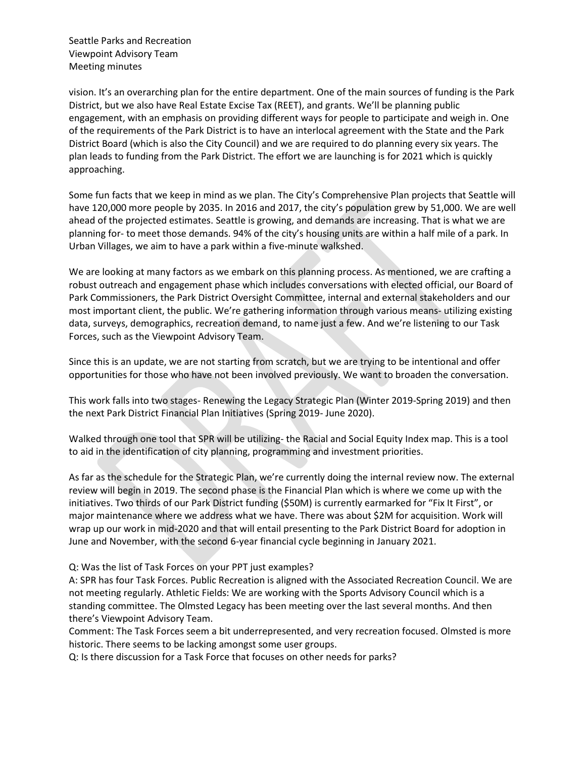vision. It's an overarching plan for the entire department. One of the main sources of funding is the Park District, but we also have Real Estate Excise Tax (REET), and grants. We'll be planning public engagement, with an emphasis on providing different ways for people to participate and weigh in. One of the requirements of the Park District is to have an interlocal agreement with the State and the Park District Board (which is also the City Council) and we are required to do planning every six years. The plan leads to funding from the Park District. The effort we are launching is for 2021 which is quickly approaching.

Some fun facts that we keep in mind as we plan. The City's Comprehensive Plan projects that Seattle will have 120,000 more people by 2035. In 2016 and 2017, the city's population grew by 51,000. We are well ahead of the projected estimates. Seattle is growing, and demands are increasing. That is what we are planning for- to meet those demands. 94% of the city's housing units are within a half mile of a park. In Urban Villages, we aim to have a park within a five-minute walkshed.

We are looking at many factors as we embark on this planning process. As mentioned, we are crafting a robust outreach and engagement phase which includes conversations with elected official, our Board of Park Commissioners, the Park District Oversight Committee, internal and external stakeholders and our most important client, the public. We're gathering information through various means- utilizing existing data, surveys, demographics, recreation demand, to name just a few. And we're listening to our Task Forces, such as the Viewpoint Advisory Team.

Since this is an update, we are not starting from scratch, but we are trying to be intentional and offer opportunities for those who have not been involved previously. We want to broaden the conversation.

This work falls into two stages- Renewing the Legacy Strategic Plan (Winter 2019-Spring 2019) and then the next Park District Financial Plan Initiatives (Spring 2019- June 2020).

Walked through one tool that SPR will be utilizing- the Racial and Social Equity Index map. This is a tool to aid in the identification of city planning, programming and investment priorities.

As far as the schedule for the Strategic Plan, we're currently doing the internal review now. The external review will begin in 2019. The second phase is the Financial Plan which is where we come up with the initiatives. Two thirds of our Park District funding (\$50M) is currently earmarked for "Fix It First", or major maintenance where we address what we have. There was about \$2M for acquisition. Work will wrap up our work in mid-2020 and that will entail presenting to the Park District Board for adoption in June and November, with the second 6-year financial cycle beginning in January 2021.

Q: Was the list of Task Forces on your PPT just examples?

A: SPR has four Task Forces. Public Recreation is aligned with the Associated Recreation Council. We are not meeting regularly. Athletic Fields: We are working with the Sports Advisory Council which is a standing committee. The Olmsted Legacy has been meeting over the last several months. And then there's Viewpoint Advisory Team.

Comment: The Task Forces seem a bit underrepresented, and very recreation focused. Olmsted is more historic. There seems to be lacking amongst some user groups.

Q: Is there discussion for a Task Force that focuses on other needs for parks?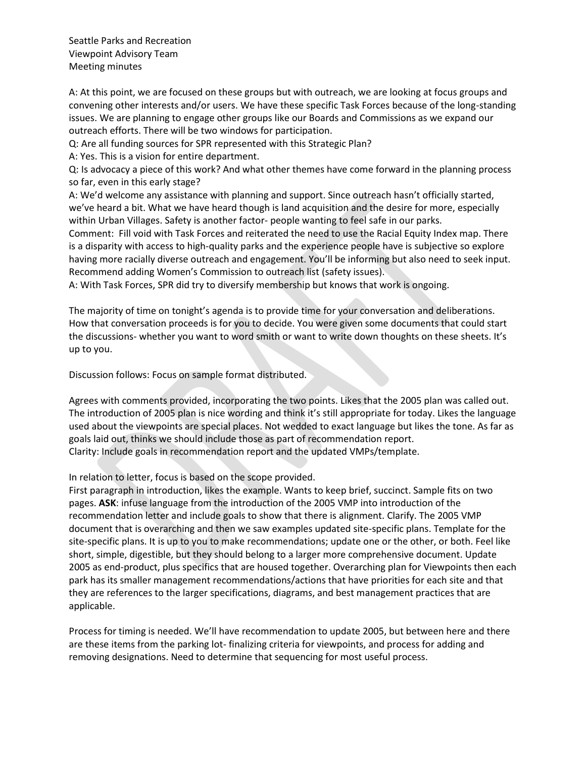A: At this point, we are focused on these groups but with outreach, we are looking at focus groups and convening other interests and/or users. We have these specific Task Forces because of the long-standing issues. We are planning to engage other groups like our Boards and Commissions as we expand our outreach efforts. There will be two windows for participation.

Q: Are all funding sources for SPR represented with this Strategic Plan?

A: Yes. This is a vision for entire department.

Q: Is advocacy a piece of this work? And what other themes have come forward in the planning process so far, even in this early stage?

A: We'd welcome any assistance with planning and support. Since outreach hasn't officially started, we've heard a bit. What we have heard though is land acquisition and the desire for more, especially within Urban Villages. Safety is another factor- people wanting to feel safe in our parks.

Comment: Fill void with Task Forces and reiterated the need to use the Racial Equity Index map. There is a disparity with access to high-quality parks and the experience people have is subjective so explore having more racially diverse outreach and engagement. You'll be informing but also need to seek input. Recommend adding Women's Commission to outreach list (safety issues).

A: With Task Forces, SPR did try to diversify membership but knows that work is ongoing.

The majority of time on tonight's agenda is to provide time for your conversation and deliberations. How that conversation proceeds is for you to decide. You were given some documents that could start the discussions- whether you want to word smith or want to write down thoughts on these sheets. It's up to you.

Discussion follows: Focus on sample format distributed.

Agrees with comments provided, incorporating the two points. Likes that the 2005 plan was called out. The introduction of 2005 plan is nice wording and think it's still appropriate for today. Likes the language used about the viewpoints are special places. Not wedded to exact language but likes the tone. As far as goals laid out, thinks we should include those as part of recommendation report. Clarity: Include goals in recommendation report and the updated VMPs/template.

In relation to letter, focus is based on the scope provided.

First paragraph in introduction, likes the example. Wants to keep brief, succinct. Sample fits on two pages. **ASK**: infuse language from the introduction of the 2005 VMP into introduction of the recommendation letter and include goals to show that there is alignment. Clarify. The 2005 VMP document that is overarching and then we saw examples updated site-specific plans. Template for the site-specific plans. It is up to you to make recommendations; update one or the other, or both. Feel like short, simple, digestible, but they should belong to a larger more comprehensive document. Update 2005 as end-product, plus specifics that are housed together. Overarching plan for Viewpoints then each park has its smaller management recommendations/actions that have priorities for each site and that they are references to the larger specifications, diagrams, and best management practices that are applicable.

Process for timing is needed. We'll have recommendation to update 2005, but between here and there are these items from the parking lot- finalizing criteria for viewpoints, and process for adding and removing designations. Need to determine that sequencing for most useful process.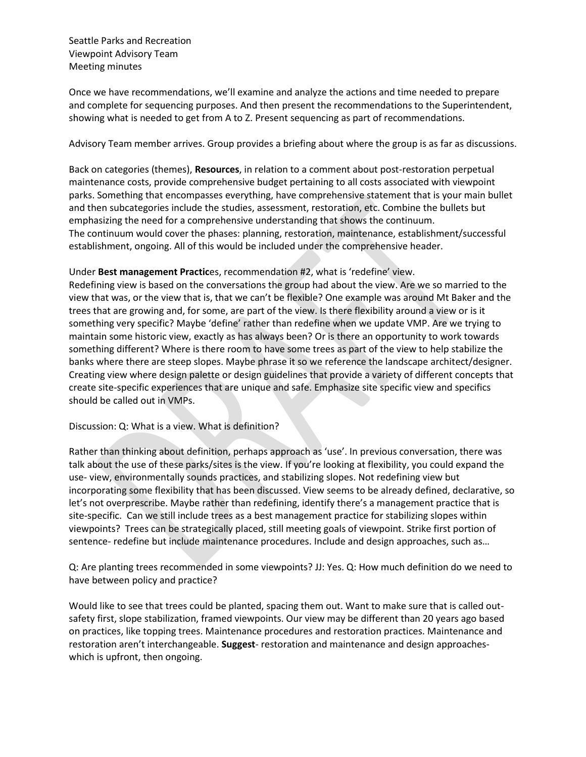Once we have recommendations, we'll examine and analyze the actions and time needed to prepare and complete for sequencing purposes. And then present the recommendations to the Superintendent, showing what is needed to get from A to Z. Present sequencing as part of recommendations.

Advisory Team member arrives. Group provides a briefing about where the group is as far as discussions.

Back on categories (themes), **Resources**, in relation to a comment about post-restoration perpetual maintenance costs, provide comprehensive budget pertaining to all costs associated with viewpoint parks. Something that encompasses everything, have comprehensive statement that is your main bullet and then subcategories include the studies, assessment, restoration, etc. Combine the bullets but emphasizing the need for a comprehensive understanding that shows the continuum. The continuum would cover the phases: planning, restoration, maintenance, establishment/successful establishment, ongoing. All of this would be included under the comprehensive header.

## Under **Best management Practic**es, recommendation #2, what is 'redefine' view.

Redefining view is based on the conversations the group had about the view. Are we so married to the view that was, or the view that is, that we can't be flexible? One example was around Mt Baker and the trees that are growing and, for some, are part of the view. Is there flexibility around a view or is it something very specific? Maybe 'define' rather than redefine when we update VMP. Are we trying to maintain some historic view, exactly as has always been? Or is there an opportunity to work towards something different? Where is there room to have some trees as part of the view to help stabilize the banks where there are steep slopes. Maybe phrase it so we reference the landscape architect/designer. Creating view where design palette or design guidelines that provide a variety of different concepts that create site-specific experiences that are unique and safe. Emphasize site specific view and specifics should be called out in VMPs.

## Discussion: Q: What is a view. What is definition?

Rather than thinking about definition, perhaps approach as 'use'. In previous conversation, there was talk about the use of these parks/sites is the view. If you're looking at flexibility, you could expand the use- view, environmentally sounds practices, and stabilizing slopes. Not redefining view but incorporating some flexibility that has been discussed. View seems to be already defined, declarative, so let's not overprescribe. Maybe rather than redefining, identify there's a management practice that is site-specific. Can we still include trees as a best management practice for stabilizing slopes within viewpoints? Trees can be strategically placed, still meeting goals of viewpoint. Strike first portion of sentence- redefine but include maintenance procedures. Include and design approaches, such as…

Q: Are planting trees recommended in some viewpoints? JJ: Yes. Q: How much definition do we need to have between policy and practice?

Would like to see that trees could be planted, spacing them out. Want to make sure that is called outsafety first, slope stabilization, framed viewpoints. Our view may be different than 20 years ago based on practices, like topping trees. Maintenance procedures and restoration practices. Maintenance and restoration aren't interchangeable. **Suggest**- restoration and maintenance and design approacheswhich is upfront, then ongoing.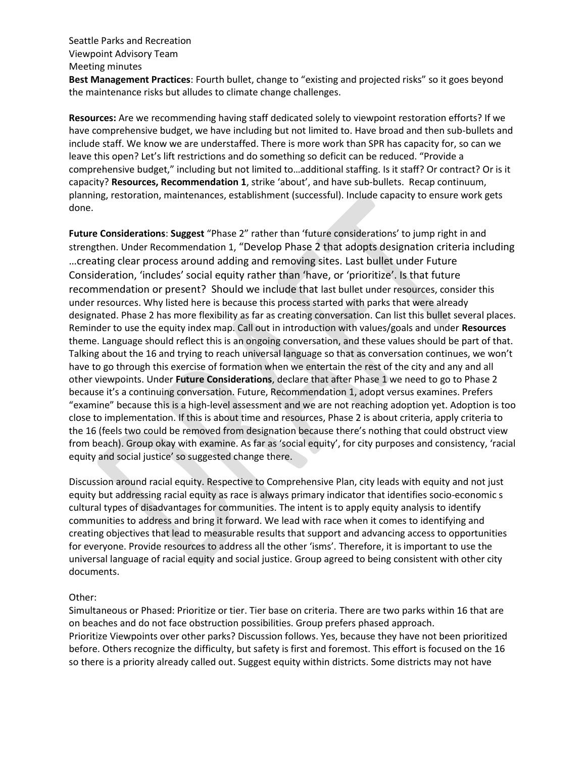**Best Management Practices**: Fourth bullet, change to "existing and projected risks" so it goes beyond the maintenance risks but alludes to climate change challenges.

**Resources:** Are we recommending having staff dedicated solely to viewpoint restoration efforts? If we have comprehensive budget, we have including but not limited to. Have broad and then sub-bullets and include staff. We know we are understaffed. There is more work than SPR has capacity for, so can we leave this open? Let's lift restrictions and do something so deficit can be reduced. "Provide a comprehensive budget," including but not limited to…additional staffing. Is it staff? Or contract? Or is it capacity? **Resources, Recommendation 1**, strike 'about', and have sub-bullets. Recap continuum, planning, restoration, maintenances, establishment (successful). Include capacity to ensure work gets done.

**Future Considerations**: **Suggest** "Phase 2" rather than 'future considerations' to jump right in and strengthen. Under Recommendation 1, "Develop Phase 2 that adopts designation criteria including …creating clear process around adding and removing sites. Last bullet under Future Consideration, 'includes' social equity rather than 'have, or 'prioritize'. Is that future recommendation or present? Should we include that last bullet under resources, consider this under resources. Why listed here is because this process started with parks that were already designated. Phase 2 has more flexibility as far as creating conversation. Can list this bullet several places. Reminder to use the equity index map. Call out in introduction with values/goals and under **Resources** theme. Language should reflect this is an ongoing conversation, and these values should be part of that. Talking about the 16 and trying to reach universal language so that as conversation continues, we won't have to go through this exercise of formation when we entertain the rest of the city and any and all other viewpoints. Under **Future Considerations**, declare that after Phase 1 we need to go to Phase 2 because it's a continuing conversation. Future, Recommendation 1, adopt versus examines. Prefers "examine" because this is a high-level assessment and we are not reaching adoption yet. Adoption is too close to implementation. If this is about time and resources, Phase 2 is about criteria, apply criteria to the 16 (feels two could be removed from designation because there's nothing that could obstruct view from beach). Group okay with examine. As far as 'social equity', for city purposes and consistency, 'racial equity and social justice' so suggested change there.

Discussion around racial equity. Respective to Comprehensive Plan, city leads with equity and not just equity but addressing racial equity as race is always primary indicator that identifies socio-economic s cultural types of disadvantages for communities. The intent is to apply equity analysis to identify communities to address and bring it forward. We lead with race when it comes to identifying and creating objectives that lead to measurable results that support and advancing access to opportunities for everyone. Provide resources to address all the other 'isms'. Therefore, it is important to use the universal language of racial equity and social justice. Group agreed to being consistent with other city documents.

## Other:

Simultaneous or Phased: Prioritize or tier. Tier base on criteria. There are two parks within 16 that are on beaches and do not face obstruction possibilities. Group prefers phased approach. Prioritize Viewpoints over other parks? Discussion follows. Yes, because they have not been prioritized before. Others recognize the difficulty, but safety is first and foremost. This effort is focused on the 16 so there is a priority already called out. Suggest equity within districts. Some districts may not have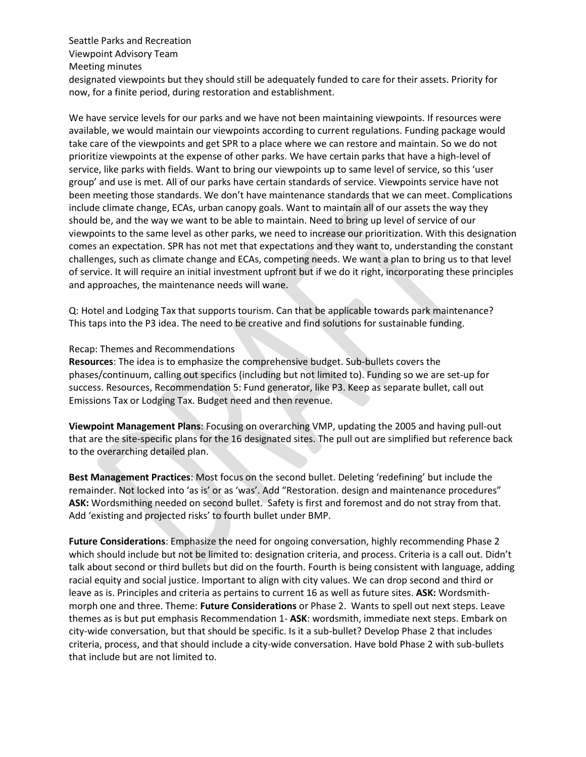## Seattle Parks and Recreation Viewpoint Advisory Team Meeting minutes designated viewpoints but they should still be adequately funded to care for their assets. Priority for now, for a finite period, during restoration and establishment.

We have service levels for our parks and we have not been maintaining viewpoints. If resources were available, we would maintain our viewpoints according to current regulations. Funding package would take care of the viewpoints and get SPR to a place where we can restore and maintain. So we do not prioritize viewpoints at the expense of other parks. We have certain parks that have a high-level of service, like parks with fields. Want to bring our viewpoints up to same level of service, so this 'user group' and use is met. All of our parks have certain standards of service. Viewpoints service have not been meeting those standards. We don't have maintenance standards that we can meet. Complications include climate change, ECAs, urban canopy goals. Want to maintain all of our assets the way they should be, and the way we want to be able to maintain. Need to bring up level of service of our viewpoints to the same level as other parks, we need to increase our prioritization. With this designation comes an expectation. SPR has not met that expectations and they want to, understanding the constant challenges, such as climate change and ECAs, competing needs. We want a plan to bring us to that level of service. It will require an initial investment upfront but if we do it right, incorporating these principles and approaches, the maintenance needs will wane.

Q: Hotel and Lodging Tax that supports tourism. Can that be applicable towards park maintenance? This taps into the P3 idea. The need to be creative and find solutions for sustainable funding.

#### Recap: Themes and Recommendations

**Resources**: The idea is to emphasize the comprehensive budget. Sub-bullets covers the phases/continuum, calling out specifics (including but not limited to). Funding so we are set-up for success. Resources, Recommendation 5: Fund generator, like P3. Keep as separate bullet, call out Emissions Tax or Lodging Tax. Budget need and then revenue.

**Viewpoint Management Plans**: Focusing on overarching VMP, updating the 2005 and having pull-out that are the site-specific plans for the 16 designated sites. The pull out are simplified but reference back to the overarching detailed plan.

**Best Management Practices**: Most focus on the second bullet. Deleting 'redefining' but include the remainder. Not locked into 'as is' or as 'was'. Add "Restoration. design and maintenance procedures" **ASK:** Wordsmithing needed on second bullet. Safety is first and foremost and do not stray from that. Add 'existing and projected risks' to fourth bullet under BMP.

**Future Considerations**: Emphasize the need for ongoing conversation, highly recommending Phase 2 which should include but not be limited to: designation criteria, and process. Criteria is a call out. Didn't talk about second or third bullets but did on the fourth. Fourth is being consistent with language, adding racial equity and social justice. Important to align with city values. We can drop second and third or leave as is. Principles and criteria as pertains to current 16 as well as future sites. **ASK:** Wordsmithmorph one and three. Theme: **Future Considerations** or Phase 2. Wants to spell out next steps. Leave themes as is but put emphasis Recommendation 1- **ASK**: wordsmith, immediate next steps. Embark on city-wide conversation, but that should be specific. Is it a sub-bullet? Develop Phase 2 that includes criteria, process, and that should include a city-wide conversation. Have bold Phase 2 with sub-bullets that include but are not limited to.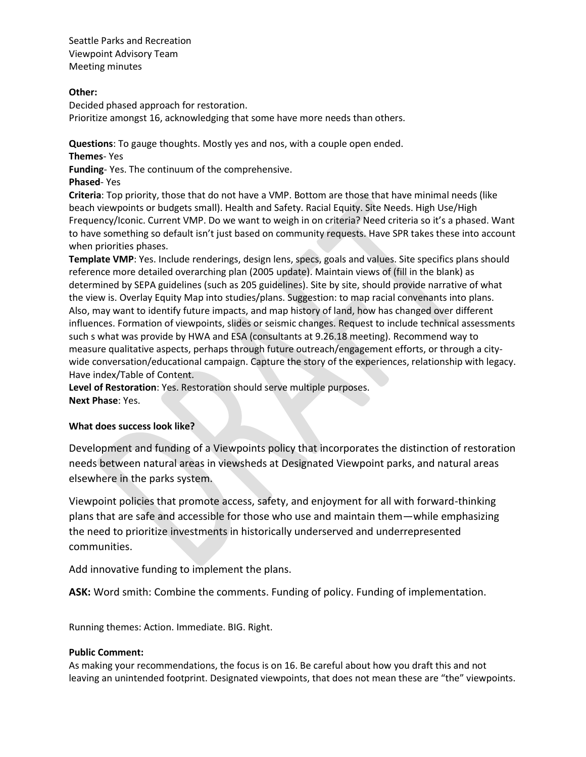## **Other:**

Decided phased approach for restoration. Prioritize amongst 16, acknowledging that some have more needs than others.

**Questions**: To gauge thoughts. Mostly yes and nos, with a couple open ended. **Themes**- Yes

**Funding**- Yes. The continuum of the comprehensive.

**Phased**- Yes

**Criteria**: Top priority, those that do not have a VMP. Bottom are those that have minimal needs (like beach viewpoints or budgets small). Health and Safety. Racial Equity. Site Needs. High Use/High Frequency/Iconic. Current VMP. Do we want to weigh in on criteria? Need criteria so it's a phased. Want to have something so default isn't just based on community requests. Have SPR takes these into account when priorities phases.

**Template VMP**: Yes. Include renderings, design lens, specs, goals and values. Site specifics plans should reference more detailed overarching plan (2005 update). Maintain views of (fill in the blank) as determined by SEPA guidelines (such as 205 guidelines). Site by site, should provide narrative of what the view is. Overlay Equity Map into studies/plans. Suggestion: to map racial convenants into plans. Also, may want to identify future impacts, and map history of land, how has changed over different influences. Formation of viewpoints, slides or seismic changes. Request to include technical assessments such s what was provide by HWA and ESA (consultants at 9.26.18 meeting). Recommend way to measure qualitative aspects, perhaps through future outreach/engagement efforts, or through a citywide conversation/educational campaign. Capture the story of the experiences, relationship with legacy. Have index/Table of Content.

**Level of Restoration**: Yes. Restoration should serve multiple purposes. **Next Phase**: Yes.

# **What does success look like?**

Development and funding of a Viewpoints policy that incorporates the distinction of restoration needs between natural areas in viewsheds at Designated Viewpoint parks, and natural areas elsewhere in the parks system.

Viewpoint policies that promote access, safety, and enjoyment for all with forward-thinking plans that are safe and accessible for those who use and maintain them—while emphasizing the need to prioritize investments in historically underserved and underrepresented communities.

Add innovative funding to implement the plans.

**ASK:** Word smith: Combine the comments. Funding of policy. Funding of implementation.

Running themes: Action. Immediate. BIG. Right.

## **Public Comment:**

As making your recommendations, the focus is on 16. Be careful about how you draft this and not leaving an unintended footprint. Designated viewpoints, that does not mean these are "the" viewpoints.